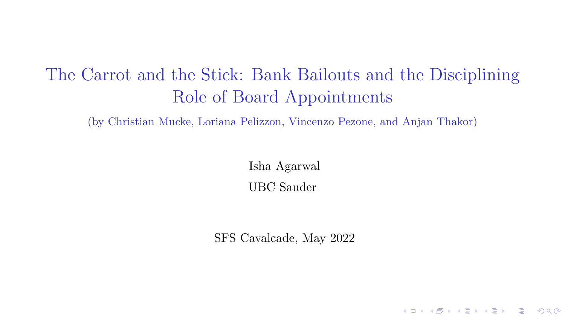# The Carrot and the Stick: Bank Bailouts and the Disciplining Role of Board Appointments

(by Christian Mucke, Loriana Pelizzon, Vincenzo Pezone, and Anjan Thakor)

Isha Agarwal UBC Sauder

SFS Cavalcade, May 2022

K ロ ▶ K 레 ▶ K 코 ▶ K 코 ▶ 『코 』 9 Q Q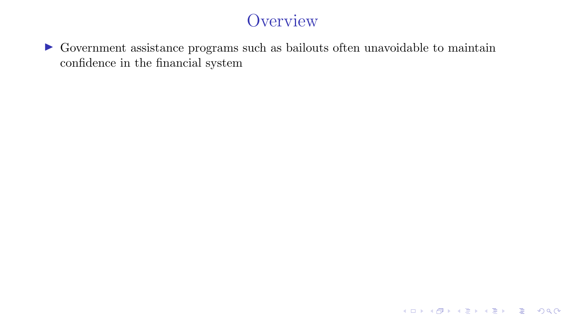$\blacktriangleright$  Government assistance programs such as bailouts often unavoidable to maintain confidence in the financial system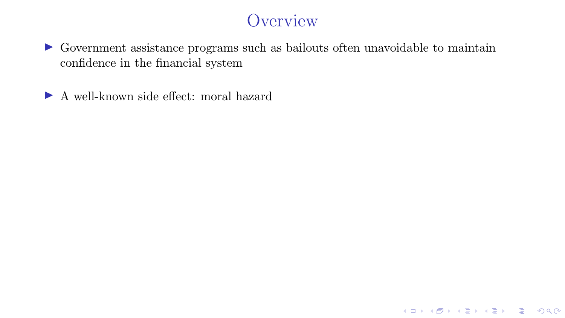**KID X イロン K ミン K ミン / ミー めんぐ** 

I Government assistance programs such as bailouts often unavoidable to maintain confidence in the financial system

▶ A well-known side effect: moral hazard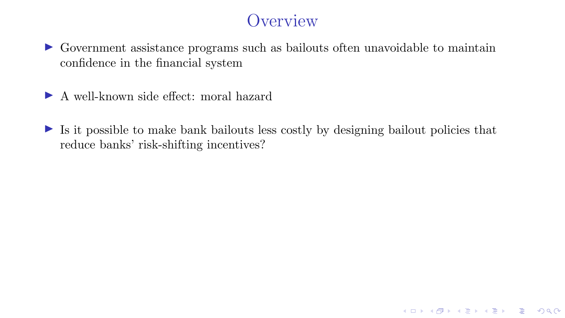I Government assistance programs such as bailouts often unavoidable to maintain confidence in the financial system

▶ A well-known side effect: moral hazard

 $\triangleright$  Is it possible to make bank bailouts less costly by designing bailout policies that reduce banks' risk-shifting incentives?

K ロ ▶ K 레 ▶ K 코 ▶ K 코 ▶ 『코 』 9 Q Q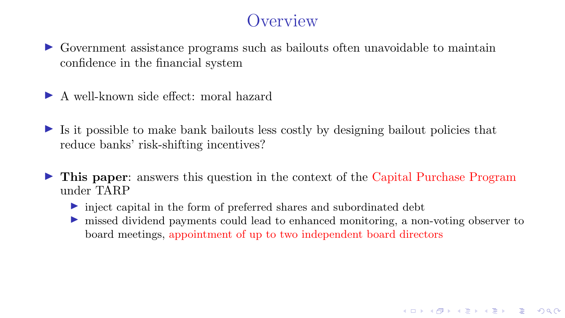$\triangleright$  Government assistance programs such as bailouts often unavoidable to maintain confidence in the financial system

 $\blacktriangleright$  A well-known side effect: moral hazard

 $\triangleright$  Is it possible to make bank bailouts less costly by designing bailout policies that reduce banks' risk-shifting incentives?

- I This paper: answers this question in the context of the Capital Purchase Program under TARP
	- $\triangleright$  inject capital in the form of preferred shares and subordinated debt
	- Independent payments could lead to enhanced monitoring, a non-voting observer to board meetings, appointment of up to two independent board directors

K ロ ▶ K 레 ▶ K 코 ▶ K 코 ▶ 『코 』 9 Q Q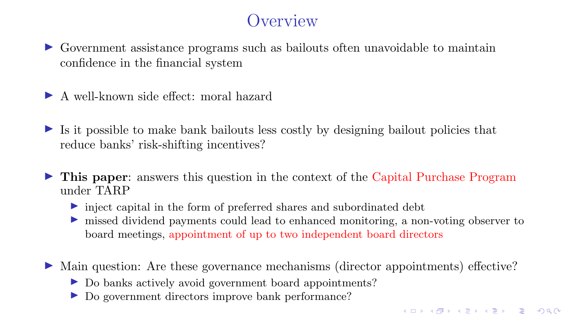$\triangleright$  Government assistance programs such as bailouts often unavoidable to maintain confidence in the financial system

 $\blacktriangleright$  A well-known side effect: moral hazard

 $\triangleright$  Is it possible to make bank bailouts less costly by designing bailout policies that reduce banks' risk-shifting incentives?

- In This paper: answers this question in the context of the Capital Purchase Program under TARP
	- $\triangleright$  inject capital in the form of preferred shares and subordinated debt
	- In missed dividend payments could lead to enhanced monitoring, a non-voting observer to board meetings, appointment of up to two independent board directors

In Main question: Are these governance mechanisms (director appointments) effective?

- ▶ Do banks actively avoid government board appointments?
- ▶ Do government directors improve bank performance?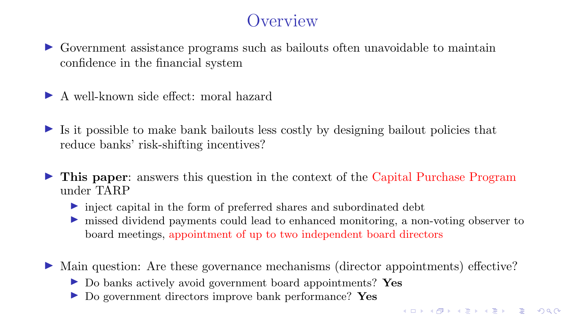$\triangleright$  Government assistance programs such as bailouts often unavoidable to maintain confidence in the financial system

 $\blacktriangleright$  A well-known side effect: moral hazard

 $\triangleright$  Is it possible to make bank bailouts less costly by designing bailout policies that reduce banks' risk-shifting incentives?

- In This paper: answers this question in the context of the Capital Purchase Program under TARP
	- $\triangleright$  inject capital in the form of preferred shares and subordinated debt
	- Independent payments could lead to enhanced monitoring, a non-voting observer to board meetings, appointment of up to two independent board directors

In Main question: Are these governance mechanisms (director appointments) effective?

- ▶ Do banks actively avoid government board appointments? Yes
- I Do government directors improve bank performance? Yes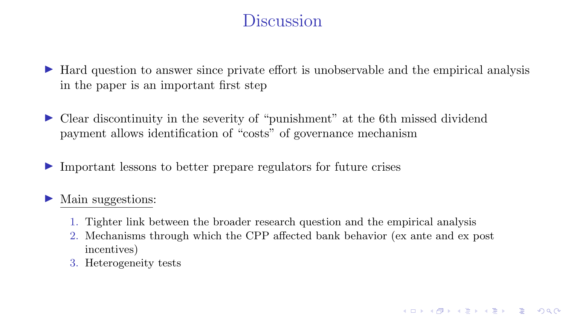#### Discussion

- In Hard question to answer since private effort is unobservable and the empirical analysis in the paper is an important first step
- I Clear discontinuity in the severity of "punishment" at the 6th missed dividend payment allows identification of "costs" of governance mechanism
- $\triangleright$  Important lessons to better prepare regulators for future crises

#### Main suggestions:

- 1. Tighter link between the broader research question and the empirical analysis
- 2. Mechanisms through which the CPP affected bank behavior (ex ante and ex post incentives)

K ロ ▶ K @ ▶ K 할 ▶ K 할 ▶ | 할 | © 9 Q @

3. Heterogeneity tests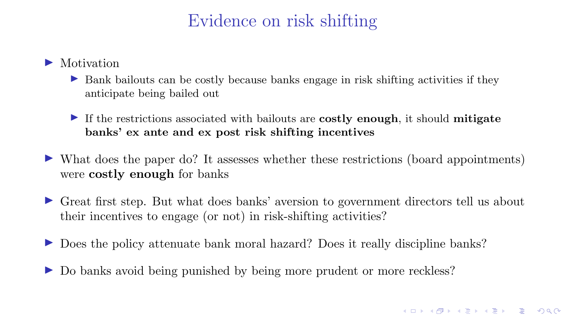## Evidence on risk shifting

- $\blacktriangleright$  Motivation
	- $\triangleright$  Bank bailouts can be costly because banks engage in risk shifting activities if they anticipate being bailed out
	- If the restrictions associated with bailouts are **costly enough**, it should **mitigate** banks' ex ante and ex post risk shifting incentives
- $\triangleright$  What does the paper do? It assesses whether these restrictions (board appointments) were costly enough for banks
- $\triangleright$  Great first step. But what does banks' aversion to government directors tell us about their incentives to engage (or not) in risk-shifting activities?
- ► Does the policy attenuate bank moral hazard? Does it really discipline banks?
- Do banks avoid being punished by being more prudent or more reckless?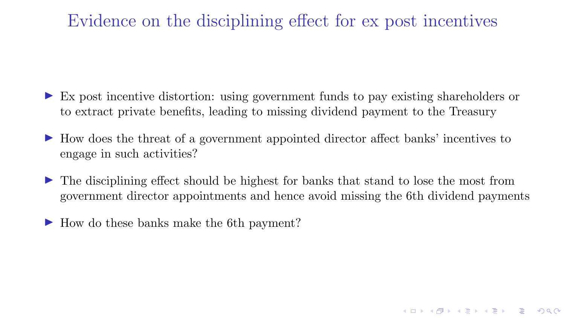## Evidence on the disciplining effect for ex post incentives

- $\triangleright$  Ex post incentive distortion: using government funds to pay existing shareholders or to extract private benefits, leading to missing dividend payment to the Treasury
- I How does the threat of a government appointed director affect banks' incentives to engage in such activities?
- I The disciplining effect should be highest for banks that stand to lose the most from government director appointments and hence avoid missing the 6th dividend payments

**KORKARKKERKER POLO** 

► How do these banks make the 6th payment?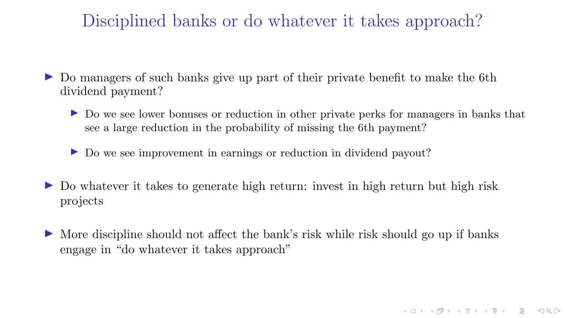## Disciplined banks or do whatever it takes approach?

- Do managers of such banks give up part of their private benefit to make the 6th dividend payment?
	- I Do we see lower bonuses or reduction in other private perks for managers in banks that see a large reduction in the probability of missing the 6th payment?

- I Do we see improvement in earnings or reduction in dividend payout?
- $\triangleright$  Do whatever it takes to generate high return: invest in high return but high risk projects
- $\triangleright$  More discipline should not affect the bank's risk while risk should go up if banks engage in "do whatever it takes approach"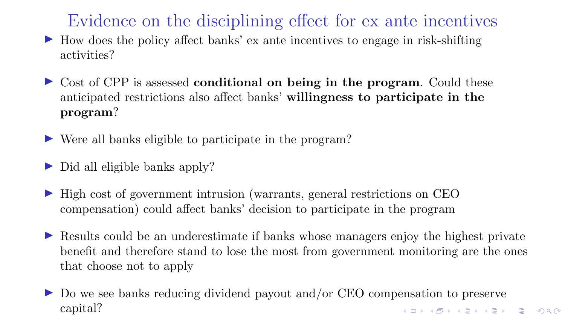<span id="page-11-0"></span>Evidence on the disciplining effect for ex ante incentives

- $\blacktriangleright$  How does the policy affect banks' ex ante incentives to engage in risk-shifting activities?
- $\triangleright$  Cost of CPP is assessed conditional on being in the program. Could these anticipated restrictions also affect banks' willingness to participate in the program?
- $\triangleright$  Were all banks eligible to participate in the program?
- $\triangleright$  Did all eligible banks apply?
- $\blacktriangleright$  High cost of government intrusion (warrants, general restrictions on CEO compensation) could affect banks' decision to participate in the program
- I Results could be an underestimate if banks whose managers enjoy the highest private benefit and therefore stand to lose the most from government monitoring are the ones that choose not to apply
- I Do we see banks reducing dividend payout and/or CEO compensation to preserve capital?K ロ ▶ K 레 ▶ K 코 ▶ K 코 ▶ 『코 』 9 Q Q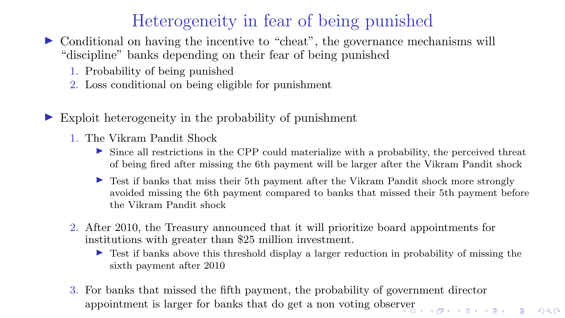## Heterogeneity in fear of being punished

- $\triangleright$  Conditional on having the incentive to "cheat", the governance mechanisms will "discipline" banks depending on their fear of being punished
	- 1. Probability of being punished
	- 2. Loss conditional on being eligible for punishment
- Exploit heterogeneity in the probability of punishment
	- 1. The Vikram Pandit Shock
		- Ince all restrictions in the CPP could materialize with a probability, the perceived threat of being fired after missing the 6th payment will be larger after the Vikram Pandit shock
		- In Test if banks that miss their 5th payment after the Vikram Pandit shock more strongly avoided missing the 6th payment compared to banks that missed their 5th payment before the Vikram Pandit shock
	- 2. After 2010, the Treasury announced that it will prioritize board appointments for institutions with greater than \$25 million investment.
		- I Test if banks above this threshold display a larger reduction in probability of missing the sixth payment after 2010
	- 3. For banks that missed the fifth payment, the probability of government director appointment is larger for banks that do get a non voting obser[ve](#page-11-0)r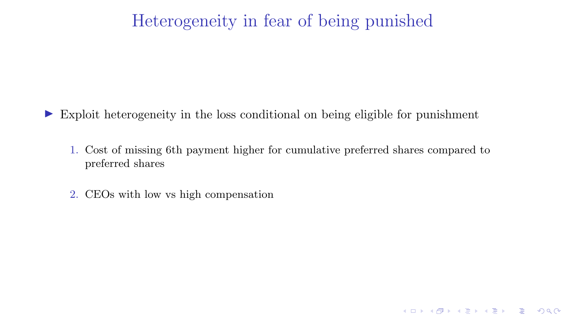#### Heterogeneity in fear of being punished

 $\triangleright$  Exploit heterogeneity in the loss conditional on being eligible for punishment

1. Cost of missing 6th payment higher for cumulative preferred shares compared to preferred shares

K ロ ▶ K 레 ▶ K 코 ▶ K 코 ▶ 『코 』 9 Q Q

2. CEOs with low vs high compensation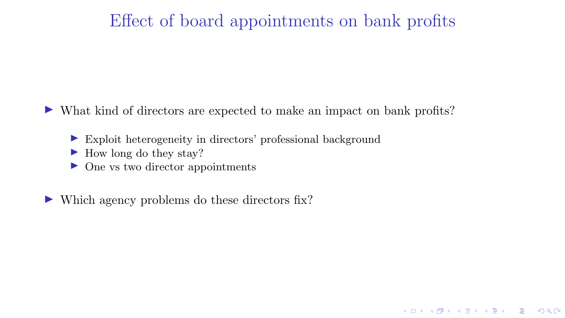#### Effect of board appointments on bank profits

K ロ ▶ K 레 ▶ K 코 ▶ K 코 ▶ 『코 』 9 Q Q

In What kind of directors are expected to make an impact on bank profits?

- $\triangleright$  Exploit heterogeneity in directors' professional background
- $\blacktriangleright$  How long do they stay?
- $\triangleright$  One vs two director appointments
- $\triangleright$  Which agency problems do these directors fix?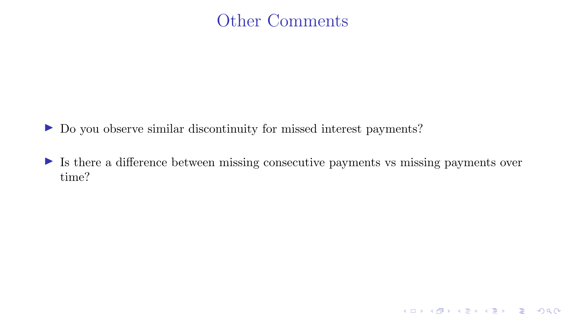#### Other Comments

- ▶ Do you observe similar discontinuity for missed interest payments?
- $\triangleright$  Is there a difference between missing consecutive payments vs missing payments over time?

K □ ▶ K @ ▶ K 할 ▶ K 할 ▶ 이 할 → 9 Q @